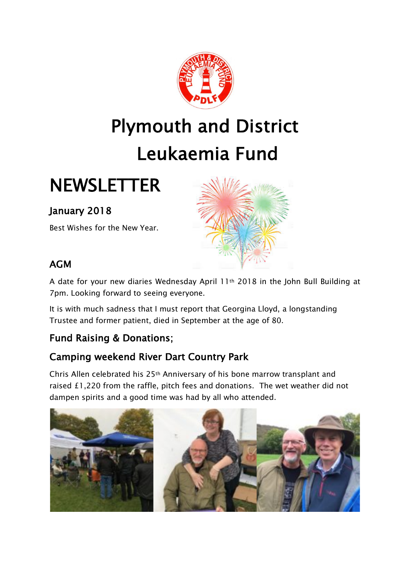

## Plymouth and District Leukaemia Fund

### **NEWSLETTER**

### January 2018

Best Wishes for the New Year.



### AGM

A date for your new diaries Wednesday April 11th 2018 in the John Bull Building at 7pm. Looking forward to seeing everyone.

It is with much sadness that I must report that Georgina Lloyd, a longstanding Trustee and former patient, died in September at the age of 80.

### Fund Raising & Donations;

### Camping weekend River Dart Country Park

Chris Allen celebrated his 25th Anniversary of his bone marrow transplant and raised £1,220 from the raffle, pitch fees and donations. The wet weather did not dampen spirits and a good time was had by all who attended.

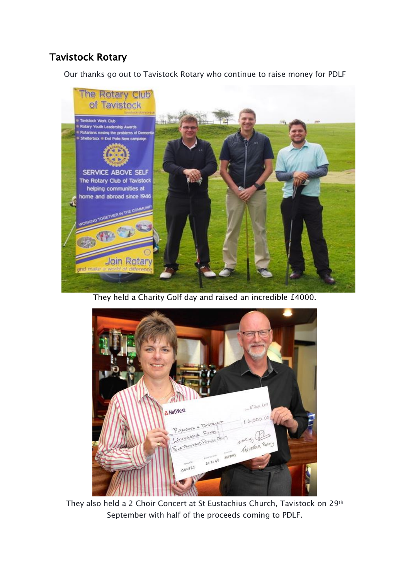### Tavistock Rotary

Our thanks go out to Tavistock Rotary who continue to raise money for PDLF



They held a Charity Golf day and raised an incredible £4000.



They also held a 2 Choir Concert at St Eustachius Church, Tavistock on 29th September with half of the proceeds coming to PDLF.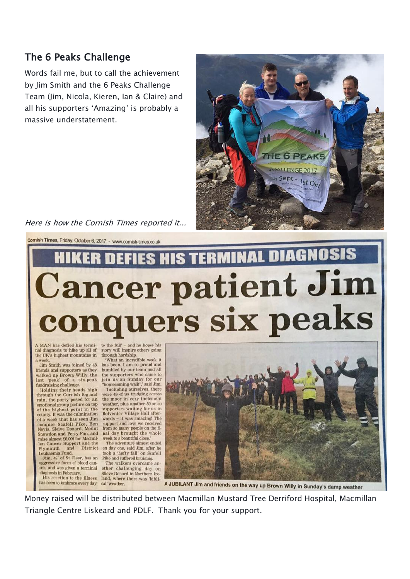#### The 6 Peaks Challenge

Words fail me, but to call the achievement by Jim Smith and the 6 Peaks Challenge Team (Jim, Nicola, Kieren, Ian & Claire) and all his supporters 'Amazing' is probably a massive understatement.



Here is how the Cornish Times reported it...

Cornish Times, Friday, October 6, 2017 - www.cornish-times.co.uk

# HIKER DEFIES HIS TERMINAL DIAGNOSIS Cancer patient Jim conquers six peaks

A MAN has defied his terminal diagnosis to hike up all of the UK's highest mountains in

Jim Smith was joined by 48 friends and supporters as they<br>walked up Brown Willy, the last 'peak' of a six-peak<br>fundraising challenge.

Holding their heads high through the Cornish fog and rain, the party posed for an emotional group picture on top<br>of the highest point in the county. It was the culmination<br>of a week that has seen Jim conquer Scafell Pike, Ben<br>Nevis, Sleive Donard, Mount **Ben** Snowdon and Pen-y-Fan, and<br>raise almost £6,000 for Macmil-

aggressive form of blood cancer, and was given a terminal diagnosis in February. His reaction to the illness

to the full' - and he hopes his story will inspire others going through hardship. What an incredible week it

has been. I am so proud and humbled by our team and all<br>the supporters who came to join us on Sunday for our<br>"homecoming walk", said Jim.

the moor in very inclement<br>weather, plus another 50 or so supporters waiting for us in<br>Bolventor Village Hall afterwards - it was amazing! The<br>support and love we received from so many people on the fi-<br>nal day brought the whole week to a beautiful close.

Fair Cancer Support and the The adventure almost ended<br>Plymouth and District on day one, said Jim, after he<br>Leukaemia Fund. took a 'hefty fall' on Scafell<br>Jim, 49, of St Cleer, has an Pike and suffered bruising. The adventure almost ended took a 'hefty fall' on Scafell

The walkers overcame another challenging day on Slieve Donard in Northern Ire land, where there was 'biblihas been to embrace every day cal' weather.

'Including ourselves, there<br>were 49 of us trudging across

A JUBILANT Jim and friends on the way up Brown Willy in Sunday's damp weather

Money raised will be distributed between Macmillan Mustard Tree Derriford Hospital, Macmillan Triangle Centre Liskeard and PDLF. Thank you for your support.

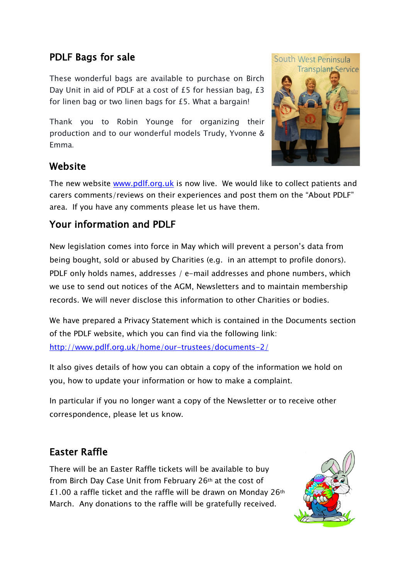### PDLF Bags for sale

These wonderful bags are available to purchase on Birch Day Unit in aid of PDLF at a cost of £5 for hessian bag, £3 for linen bag or two linen bags for £5. What a bargain!

Thank you to Robin Younge for organizing their production and to our wonderful models Trudy, Yvonne & Emma.



### Website

The new website www.pdlf.org.uk is now live. We would like to collect patients and carers comments/reviews on their experiences and post them on the "About PDLF" area. If you have any comments please let us have them.

### Your information and PDLF

New legislation comes into force in May which will prevent a person's data from being bought, sold or abused by Charities (e.g. in an attempt to profile donors). PDLF only holds names, addresses / e-mail addresses and phone numbers, which we use to send out notices of the AGM, Newsletters and to maintain membership records. We will never disclose this information to other Charities or bodies.

We have prepared a Privacy Statement which is contained in the Documents section of the PDLF website, which you can find via the following link:

http://www.pdlf.org.uk/home/our-trustees/documents-2/

It also gives details of how you can obtain a copy of the information we hold on you, how to update your information or how to make a complaint.

In particular if you no longer want a copy of the Newsletter or to receive other correspondence, please let us know.

### Easter Raffle

There will be an Easter Raffle tickets will be available to buy from Birch Day Case Unit from February 26th at the cost of £1.00 a raffle ticket and the raffle will be drawn on Monday 26th March. Any donations to the raffle will be gratefully received.